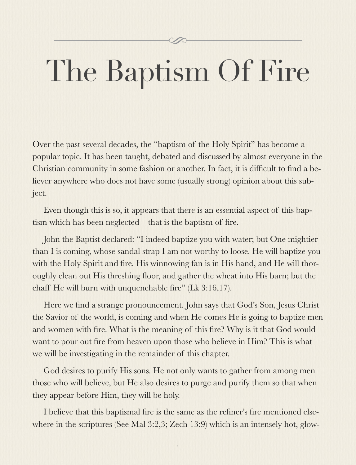#### N

# The Baptism Of Fire

Over the past several decades, the "baptism of the Holy Spirit" has become a popular topic. It has been taught, debated and discussed by almost everyone in the Christian community in some fashion or another. In fact, it is difficult to find a believer anywhere who does not have some (usually strong) opinion about this subject.

Even though this is so, it appears that there is an essential aspect of this baptism which has been neglected – that is the baptism of fire.

John the Baptist declared: "I indeed baptize you with water; but One mightier than I is coming, whose sandal strap I am not worthy to loose. He will baptize you with the Holy Spirit and fire. His winnowing fan is in His hand, and He will thoroughly clean out His threshing floor, and gather the wheat into His barn; but the chaff He will burn with unquenchable fire" (Lk 3:16,17).

Here we find a strange pronouncement. John says that God's Son, Jesus Christ the Savior of the world, is coming and when He comes He is going to baptize men and women with fire. What is the meaning of this fire? Why is it that God would want to pour out fire from heaven upon those who believe in Him? This is what we will be investigating in the remainder of this chapter.

God desires to purify His sons. He not only wants to gather from among men those who will believe, but He also desires to purge and purify them so that when they appear before Him, they will be holy.

I believe that this baptismal fire is the same as the refiner's fire mentioned elsewhere in the scriptures (See Mal 3:2,3; Zech 13:9) which is an intensely hot, glow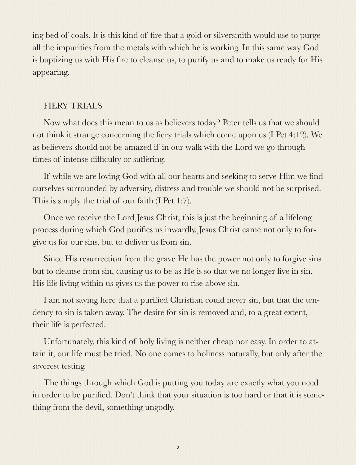ing bed of coals. It is this kind of fire that a gold or silversmith would use to purge all the impurities from the metals with which he is working. In this same way God is baptizing us with His fire to cleanse us, to purify us and to make us ready for His appearing.

### FIERY TRIALS

Now what does this mean to us as believers today? Peter tells us that we should not think it strange concerning the fiery trials which come upon us (I Pet 4:12). We as believers should not be amazed if in our walk with the Lord we go through times of intense difficulty or suffering.

If while we are loving God with all our hearts and seeking to serve Him we find ourselves surrounded by adversity, distress and trouble we should not be surprised. This is simply the trial of our faith (I Pet 1:7).

Once we receive the Lord Jesus Christ, this is just the beginning of a lifelong process during which God purifies us inwardly. Jesus Christ came not only to forgive us for our sins, but to deliver us from sin.

Since His resurrection from the grave He has the power not only to forgive sins but to cleanse from sin, causing us to be as He is so that we no longer live in sin. His life living within us gives us the power to rise above sin.

I am not saying here that a purified Christian could never sin, but that the tendency to sin is taken away. The desire for sin is removed and, to a great extent, their life is perfected.

Unfortunately, this kind of holy living is neither cheap nor easy. In order to attain it, our life must be tried. No one comes to holiness naturally, but only after the severest testing.

The things through which God is putting you today are exactly what you need in order to be purified. Don't think that your situation is too hard or that it is something from the devil, something ungodly.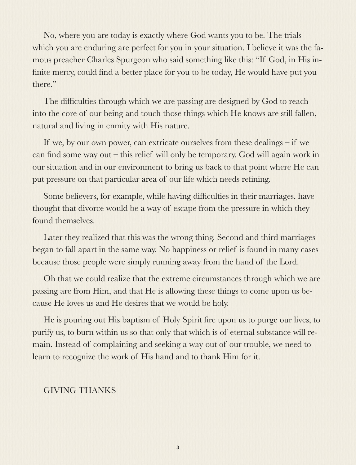No, where you are today is exactly where God wants you to be. The trials which you are enduring are perfect for you in your situation. I believe it was the famous preacher Charles Spurgeon who said something like this: "If God, in His infinite mercy, could find a better place for you to be today, He would have put you there."

The difficulties through which we are passing are designed by God to reach into the core of our being and touch those things which He knows are still fallen, natural and living in enmity with His nature.

If we, by our own power, can extricate ourselves from these dealings – if we can find some way out – this relief will only be temporary. God will again work in our situation and in our environment to bring us back to that point where He can put pressure on that particular area of our life which needs refining.

Some believers, for example, while having difficulties in their marriages, have thought that divorce would be a way of escape from the pressure in which they found themselves.

Later they realized that this was the wrong thing. Second and third marriages began to fall apart in the same way. No happiness or relief is found in many cases because those people were simply running away from the hand of the Lord.

Oh that we could realize that the extreme circumstances through which we are passing are from Him, and that He is allowing these things to come upon us because He loves us and He desires that we would be holy.

He is pouring out His baptism of Holy Spirit fire upon us to purge our lives, to purify us, to burn within us so that only that which is of eternal substance will remain. Instead of complaining and seeking a way out of our trouble, we need to learn to recognize the work of His hand and to thank Him for it.

#### GIVING THANKS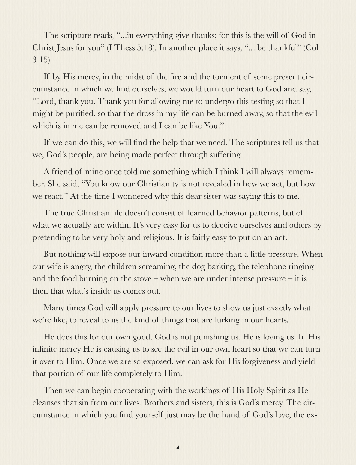The scripture reads, "...in everything give thanks; for this is the will of God in Christ Jesus for you" (I Thess 5:18). In another place it says, "... be thankful" (Col 3:15).

If by His mercy, in the midst of the fire and the torment of some present circumstance in which we find ourselves, we would turn our heart to God and say, "Lord, thank you. Thank you for allowing me to undergo this testing so that I might be purified, so that the dross in my life can be burned away, so that the evil which is in me can be removed and I can be like You."

If we can do this, we will find the help that we need. The scriptures tell us that we, God's people, are being made perfect through suffering.

A friend of mine once told me something which I think I will always remember. She said, "You know our Christianity is not revealed in how we act, but how we react." At the time I wondered why this dear sister was saying this to me.

The true Christian life doesn't consist of learned behavior patterns, but of what we actually are within. It's very easy for us to deceive ourselves and others by pretending to be very holy and religious. It is fairly easy to put on an act.

But nothing will expose our inward condition more than a little pressure. When our wife is angry, the children screaming, the dog barking, the telephone ringing and the food burning on the stove – when we are under intense pressure – it is then that what's inside us comes out.

Many times God will apply pressure to our lives to show us just exactly what we're like, to reveal to us the kind of things that are lurking in our hearts.

He does this for our own good. God is not punishing us. He is loving us. In His infinite mercy He is causing us to see the evil in our own heart so that we can turn it over to Him. Once we are so exposed, we can ask for His forgiveness and yield that portion of our life completely to Him.

Then we can begin cooperating with the workings of His Holy Spirit as He cleanses that sin from our lives. Brothers and sisters, this is God's mercy. The circumstance in which you find yourself just may be the hand of God's love, the ex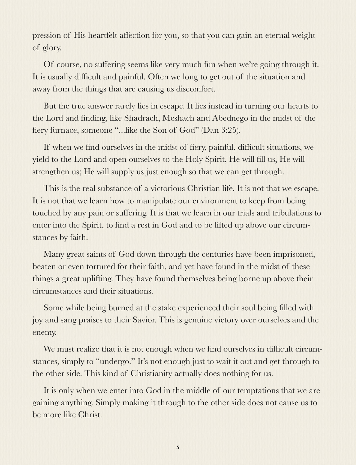pression of His heartfelt affection for you, so that you can gain an eternal weight of glory.

Of course, no suffering seems like very much fun when we're going through it. It is usually difficult and painful. Often we long to get out of the situation and away from the things that are causing us discomfort.

But the true answer rarely lies in escape. It lies instead in turning our hearts to the Lord and finding, like Shadrach, Meshach and Abednego in the midst of the fiery furnace, someone "...like the Son of God" (Dan 3:25).

If when we find ourselves in the midst of fiery, painful, difficult situations, we yield to the Lord and open ourselves to the Holy Spirit, He will fill us, He will strengthen us; He will supply us just enough so that we can get through.

This is the real substance of a victorious Christian life. It is not that we escape. It is not that we learn how to manipulate our environment to keep from being touched by any pain or suffering. It is that we learn in our trials and tribulations to enter into the Spirit, to find a rest in God and to be lifted up above our circumstances by faith.

Many great saints of God down through the centuries have been imprisoned, beaten or even tortured for their faith, and yet have found in the midst of these things a great uplifting. They have found themselves being borne up above their circumstances and their situations.

Some while being burned at the stake experienced their soul being filled with joy and sang praises to their Savior. This is genuine victory over ourselves and the enemy.

We must realize that it is not enough when we find ourselves in difficult circumstances, simply to "undergo." It's not enough just to wait it out and get through to the other side. This kind of Christianity actually does nothing for us.

It is only when we enter into God in the middle of our temptations that we are gaining anything. Simply making it through to the other side does not cause us to be more like Christ.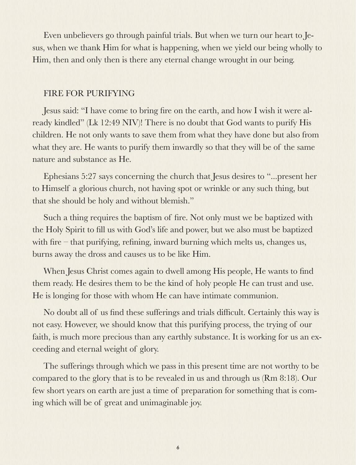Even unbelievers go through painful trials. But when we turn our heart to Jesus, when we thank Him for what is happening, when we yield our being wholly to Him, then and only then is there any eternal change wrought in our being.

#### FIRE FOR PURIFYING

Jesus said: "I have come to bring fire on the earth, and how I wish it were already kindled" (Lk 12:49 NIV)! There is no doubt that God wants to purify His children. He not only wants to save them from what they have done but also from what they are. He wants to purify them inwardly so that they will be of the same nature and substance as He.

Ephesians 5:27 says concerning the church that Jesus desires to "...present her to Himself a glorious church, not having spot or wrinkle or any such thing, but that she should be holy and without blemish."

Such a thing requires the baptism of fire. Not only must we be baptized with the Holy Spirit to fill us with God's life and power, but we also must be baptized with fire – that purifying, refining, inward burning which melts us, changes us, burns away the dross and causes us to be like Him.

When Jesus Christ comes again to dwell among His people, He wants to find them ready. He desires them to be the kind of holy people He can trust and use. He is longing for those with whom He can have intimate communion.

No doubt all of us find these sufferings and trials difficult. Certainly this way is not easy. However, we should know that this purifying process, the trying of our faith, is much more precious than any earthly substance. It is working for us an exceeding and eternal weight of glory.

The sufferings through which we pass in this present time are not worthy to be compared to the glory that is to be revealed in us and through us (Rm 8:18). Our few short years on earth are just a time of preparation for something that is coming which will be of great and unimaginable joy.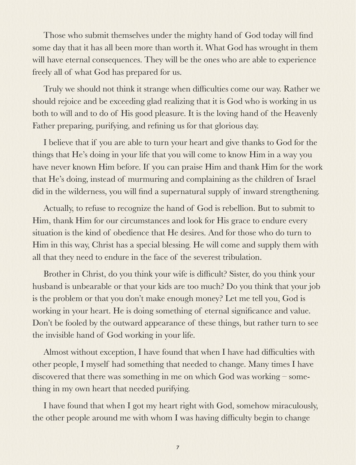Those who submit themselves under the mighty hand of God today will find some day that it has all been more than worth it. What God has wrought in them will have eternal consequences. They will be the ones who are able to experience freely all of what God has prepared for us.

Truly we should not think it strange when difficulties come our way. Rather we should rejoice and be exceeding glad realizing that it is God who is working in us both to will and to do of His good pleasure. It is the loving hand of the Heavenly Father preparing, purifying, and refining us for that glorious day.

I believe that if you are able to turn your heart and give thanks to God for the things that He's doing in your life that you will come to know Him in a way you have never known Him before. If you can praise Him and thank Him for the work that He's doing, instead of murmuring and complaining as the children of Israel did in the wilderness, you will find a supernatural supply of inward strengthening.

Actually, to refuse to recognize the hand of God is rebellion. But to submit to Him, thank Him for our circumstances and look for His grace to endure every situation is the kind of obedience that He desires. And for those who do turn to Him in this way, Christ has a special blessing. He will come and supply them with all that they need to endure in the face of the severest tribulation.

Brother in Christ, do you think your wife is difficult? Sister, do you think your husband is unbearable or that your kids are too much? Do you think that your job is the problem or that you don't make enough money? Let me tell you, God is working in your heart. He is doing something of eternal significance and value. Don't be fooled by the outward appearance of these things, but rather turn to see the invisible hand of God working in your life.

Almost without exception, I have found that when I have had difficulties with other people, I myself had something that needed to change. Many times I have discovered that there was something in me on which God was working – something in my own heart that needed purifying.

I have found that when I got my heart right with God, somehow miraculously, the other people around me with whom I was having difficulty begin to change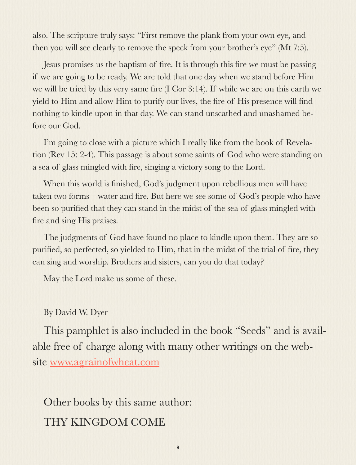also. The scripture truly says: "First remove the plank from your own eye, and then you will see clearly to remove the speck from your brother's eye" (Mt 7:5).

Jesus promises us the baptism of fire. It is through this fire we must be passing if we are going to be ready. We are told that one day when we stand before Him we will be tried by this very same fire (I Cor 3:14). If while we are on this earth we yield to Him and allow Him to purify our lives, the fire of His presence will find nothing to kindle upon in that day. We can stand unscathed and unashamed before our God.

I'm going to close with a picture which I really like from the book of Revelation (Rev 15: 2-4). This passage is about some saints of God who were standing on a sea of glass mingled with fire, singing a victory song to the Lord.

When this world is finished, God's judgment upon rebellious men will have taken two forms – water and fire. But here we see some of God's people who have been so purified that they can stand in the midst of the sea of glass mingled with fire and sing His praises.

The judgments of God have found no place to kindle upon them. They are so purified, so perfected, so yielded to Him, that in the midst of the trial of fire, they can sing and worship. Brothers and sisters, can you do that today?

May the Lord make us some of these.

#### By David W. Dyer

This pamphlet is also included in the book "Seeds" and is available free of charge along with many other writings on the website [www.agrainofwheat.com](http://www.agrainofwheat.com)

Other books by this same author: THY KINGDOM COME